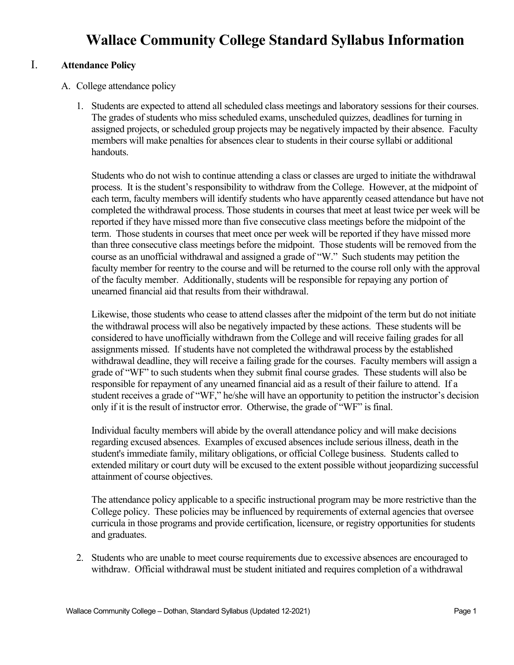# **Wallace Community College Standard Syllabus Information**

## I. **Attendance Policy**

- A. College attendance policy
	- 1. Students are expected to attend all scheduled class meetings and laboratory sessions for their courses. The grades of students who miss scheduled exams, unscheduled quizzes, deadlines for turning in assigned projects, or scheduled group projects may be negatively impacted by their absence. Faculty members will make penalties for absences clear to students in their course syllabi or additional handouts.

Students who do not wish to continue attending a class or classes are urged to initiate the withdrawal process. It is the student's responsibility to withdraw from the College. However, at the midpoint of each term, faculty members will identify students who have apparently ceased attendance but have not completed the withdrawal process. Those students in courses that meet at least twice per week will be reported if they have missed more than five consecutive class meetings before the midpoint of the term. Those students in courses that meet once per week will be reported if they have missed more than three consecutive class meetings before the midpoint. Those students will be removed from the course as an unofficial withdrawal and assigned a grade of "W." Such students may petition the faculty member for reentry to the course and will be returned to the course roll only with the approval of the faculty member. Additionally, students will be responsible for repaying any portion of unearned financial aid that results from their withdrawal.

Likewise, those students who cease to attend classes after the midpoint of the term but do not initiate the withdrawal process will also be negatively impacted by these actions. These students will be considered to have unofficially withdrawn from the College and will receive failing grades for all assignments missed. If students have not completed the withdrawal process by the established withdrawal deadline, they will receive a failing grade for the courses. Faculty members will assign a grade of "WF" to such students when they submit final course grades. These students will also be responsible for repayment of any unearned financial aid as a result of their failure to attend. If a student receives a grade of "WF," he/she will have an opportunity to petition the instructor's decision only if it is the result of instructor error. Otherwise, the grade of "WF" is final.

Individual faculty members will abide by the overall attendance policy and will make decisions regarding excused absences. Examples of excused absences include serious illness, death in the student's immediate family, military obligations, or official College business. Students called to extended military or court duty will be excused to the extent possible without jeopardizing successful attainment of course objectives.

The attendance policy applicable to a specific instructional program may be more restrictive than the College policy. These policies may be influenced by requirements of external agencies that oversee curricula in those programs and provide certification, licensure, or registry opportunities for students and graduates.

2. Students who are unable to meet course requirements due to excessive absences are encouraged to withdraw. Official withdrawal must be student initiated and requires completion of a withdrawal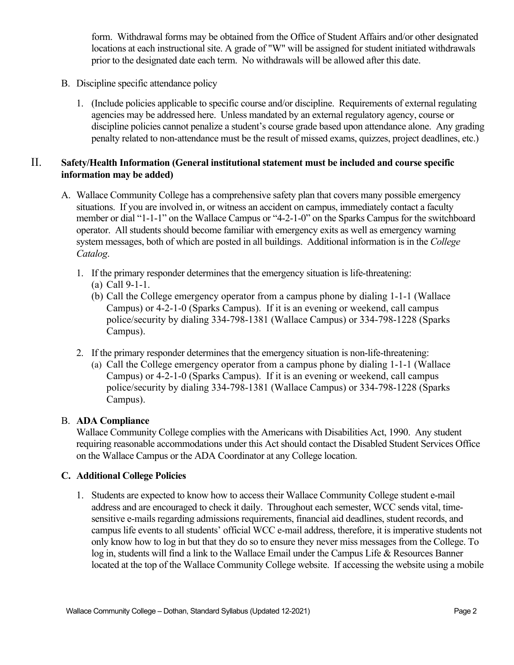form. Withdrawal forms may be obtained from the Office of Student Affairs and/or other designated locations at each instructional site. A grade of "W" will be assigned for student initiated withdrawals prior to the designated date each term. No withdrawals will be allowed after this date.

- B. Discipline specific attendance policy
	- 1. (Include policies applicable to specific course and/or discipline. Requirements of external regulating agencies may be addressed here. Unless mandated by an external regulatory agency, course or discipline policies cannot penalize a student's course grade based upon attendance alone. Any grading penalty related to non-attendance must be the result of missed exams, quizzes, project deadlines, etc.)

# II. **Safety/Health Information (General institutional statement must be included and course specific information may be added)**

- A. Wallace Community College has a comprehensive safety plan that covers many possible emergency situations. If you are involved in, or witness an accident on campus, immediately contact a faculty member or dial "1-1-1" on the Wallace Campus or "4-2-1-0" on the Sparks Campus for the switchboard operator. All students should become familiar with emergency exits as well as emergency warning system messages, both of which are posted in all buildings. Additional information is in the *College Catalog*.
	- 1. If the primary responder determines that the emergency situation is life-threatening:
		- (a) Call 9-1-1.
		- (b) Call the College emergency operator from a campus phone by dialing 1-1-1 (Wallace Campus) or 4-2-1-0 (Sparks Campus). If it is an evening or weekend, call campus police/security by dialing 334-798-1381 (Wallace Campus) or 334-798-1228 (Sparks Campus).
	- 2. If the primary responder determines that the emergency situation is non-life-threatening:
		- (a) Call the College emergency operator from a campus phone by dialing 1-1-1 (Wallace Campus) or 4-2-1-0 (Sparks Campus). If it is an evening or weekend, call campus police/security by dialing 334-798-1381 (Wallace Campus) or 334-798-1228 (Sparks Campus).

# B. **ADA Compliance**

Wallace Community College complies with the Americans with Disabilities Act, 1990. Any student requiring reasonable accommodations under this Act should contact the Disabled Student Services Office on the Wallace Campus or the ADA Coordinator at any College location.

## **C. Additional College Policies**

1. Students are expected to know how to access their Wallace Community College student e-mail address and are encouraged to check it daily. Throughout each semester, WCC sends vital, timesensitive e-mails regarding admissions requirements, financial aid deadlines, student records, and campus life events to all students' official WCC e-mail address, therefore, it is imperative students not only know how to log in but that they do so to ensure they never miss messages from the College. To log in, students will find a link to the Wallace Email under the Campus Life & Resources Banner located at the top of the Wallace Community College website. If accessing the website using a mobile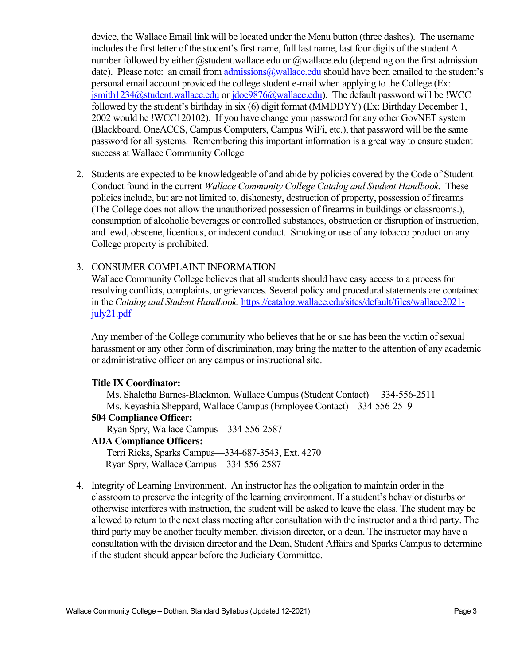device, the Wallace Email link will be located under the Menu button (three dashes). The username includes the first letter of the student's first name, full last name, last four digits of the student A number followed by either @student.wallace.edu or @wallace.edu (depending on the first admission date). Please note: an email from admissions  $@$  wallace edu should have been emailed to the student's personal email account provided the college student e-mail when applying to the College (Ex:  $j$ smith1234@student.wallace.edu or  $j$ doe9876@wallace.edu). The default password will be !WCC followed by the student's birthday in six (6) digit format (MMDDYY) (Ex: Birthday December 1, 2002 would be !WCC120102). If you have change your password for any other GovNET system (Blackboard, OneACCS, Campus Computers, Campus WiFi, etc.), that password will be the same password for all systems. Remembering this important information is a great way to ensure student success at Wallace Community College

2. Students are expected to be knowledgeable of and abide by policies covered by the Code of Student Conduct found in the current *Wallace Community College Catalog and Student Handbook.* These policies include, but are not limited to, dishonesty, destruction of property, possession of firearms (The College does not allow the unauthorized possession of firearms in buildings or classrooms.), consumption of alcoholic beverages or controlled substances, obstruction or disruption of instruction, and lewd, obscene, licentious, or indecent conduct. Smoking or use of any tobacco product on any College property is prohibited.

#### 3. CONSUMER COMPLAINT INFORMATION

Wallace Community College believes that all students should have easy access to a process for resolving conflicts, complaints, or grievances. Several policy and procedural statements are contained in the *Catalog and Student Handbook*. https://catalog.wallace.edu/sites/default/files/wallace2021 july21.pdf

Any member of the College community who believes that he or she has been the victim of sexual harassment or any other form of discrimination, may bring the matter to the attention of any academic or administrative officer on any campus or instructional site.

#### **Title IX Coordinator:**

Ms. Shaletha Barnes-Blackmon, Wallace Campus (Student Contact) —334-556-2511 Ms. Keyashia Sheppard, Wallace Campus (Employee Contact) – 334-556-2519

#### **504 Compliance Officer:**

Ryan Spry, Wallace Campus—334-556-2587

**ADA Compliance Officers:**

Terri Ricks, Sparks Campus—334-687-3543, Ext. 4270 Ryan Spry, Wallace Campus—334-556-2587

4. Integrity of Learning Environment. An instructor has the obligation to maintain order in the classroom to preserve the integrity of the learning environment. If a student's behavior disturbs or otherwise interferes with instruction, the student will be asked to leave the class. The student may be allowed to return to the next class meeting after consultation with the instructor and a third party. The third party may be another faculty member, division director, or a dean. The instructor may have a consultation with the division director and the Dean, Student Affairs and Sparks Campus to determine if the student should appear before the Judiciary Committee.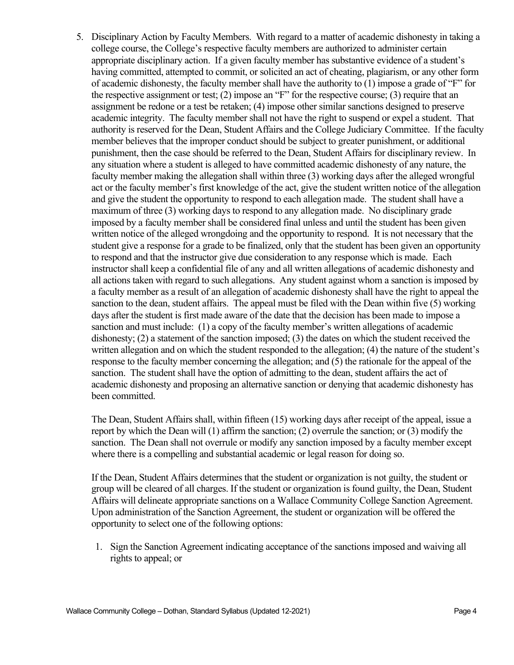5. Disciplinary Action by Faculty Members.With regard to a matter of academic dishonesty in taking a college course, the College's respective faculty members are authorized to administer certain appropriate disciplinary action. If a given faculty member has substantive evidence of a student's having committed, attempted to commit, or solicited an act of cheating, plagiarism, or any other form of academic dishonesty, the faculty member shall have the authority to (1) impose a grade of "F" for the respective assignment or test; (2) impose an "F" for the respective course; (3) require that an assignment be redone or a test be retaken; (4) impose other similar sanctions designed to preserve academic integrity. The faculty member shall not have the right to suspend or expel a student. That authority is reserved for the Dean, Student Affairs and the College Judiciary Committee. If the faculty member believes that the improper conduct should be subject to greater punishment, or additional punishment, then the case should be referred to the Dean, Student Affairs for disciplinary review. In any situation where a student is alleged to have committed academic dishonesty of any nature, the faculty member making the allegation shall within three (3) working days after the alleged wrongful act or the faculty member's first knowledge of the act, give the student written notice of the allegation and give the student the opportunity to respond to each allegation made. The student shall have a maximum of three (3) working days to respond to any allegation made. No disciplinary grade imposed by a faculty member shall be considered final unless and until the student has been given written notice of the alleged wrongdoing and the opportunity to respond. It is not necessary that the student give a response for a grade to be finalized, only that the student has been given an opportunity to respond and that the instructor give due consideration to any response which is made. Each instructor shall keep a confidential file of any and all written allegations of academic dishonesty and all actions taken with regard to such allegations. Any student against whom a sanction is imposed by a faculty member as a result of an allegation of academic dishonesty shall have the right to appeal the sanction to the dean, student affairs. The appeal must be filed with the Dean within five (5) working days after the student is first made aware of the date that the decision has been made to impose a sanction and must include: (1) a copy of the faculty member's written allegations of academic dishonesty; (2) a statement of the sanction imposed; (3) the dates on which the student received the written allegation and on which the student responded to the allegation; (4) the nature of the student's response to the faculty member concerning the allegation; and (5) the rationale for the appeal of the sanction. The student shall have the option of admitting to the dean, student affairs the act of academic dishonesty and proposing an alternative sanction or denying that academic dishonesty has been committed.

The Dean, Student Affairs shall, within fifteen (15) working days after receipt of the appeal, issue a report by which the Dean will (1) affirm the sanction; (2) overrule the sanction; or (3) modify the sanction. The Dean shall not overrule or modify any sanction imposed by a faculty member except where there is a compelling and substantial academic or legal reason for doing so.

If the Dean, Student Affairs determines that the student or organization is not guilty, the student or group will be cleared of all charges. If the student or organization is found guilty, the Dean, Student Affairs will delineate appropriate sanctions on a Wallace Community College Sanction Agreement. Upon administration of the Sanction Agreement, the student or organization will be offered the opportunity to select one of the following options:

1. Sign the Sanction Agreement indicating acceptance of the sanctions imposed and waiving all rights to appeal; or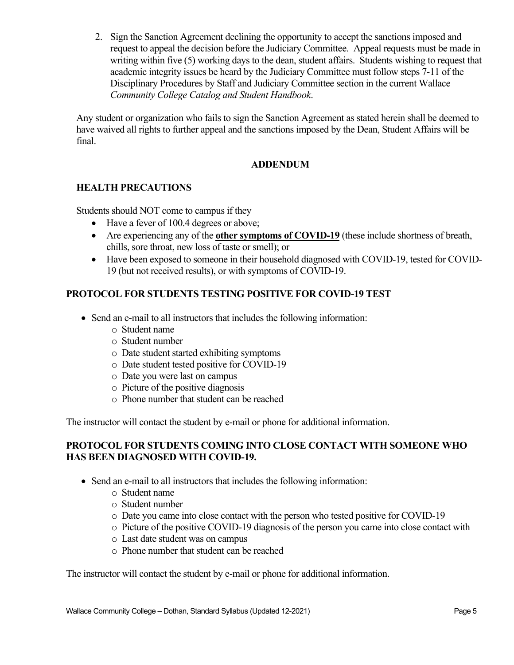2. Sign the Sanction Agreement declining the opportunity to accept the sanctions imposed and request to appeal the decision before the Judiciary Committee. Appeal requests must be made in writing within five (5) working days to the dean, student affairs. Students wishing to request that academic integrity issues be heard by the Judiciary Committee must follow steps 7-11 of the Disciplinary Procedures by Staff and Judiciary Committee section in the current Wallace *Community College Catalog and Student Handbook*.

Any student or organization who fails to sign the Sanction Agreement as stated herein shall be deemed to have waived all rights to further appeal and the sanctions imposed by the Dean, Student Affairs will be final.

# **ADDENDUM**

# **HEALTH PRECAUTIONS**

Students should NOT come to campus if they

- Have a fever of 100.4 degrees or above;
- Are experiencing any of the **other symptoms of COVID-19** (these include shortness of breath, chills, sore throat, new loss of taste or smell); or
- Have been exposed to someone in their household diagnosed with COVID-19, tested for COVID-19 (but not received results), or with symptoms of COVID-19.

# **PROTOCOL FOR STUDENTS TESTING POSITIVE FOR COVID-19 TEST**

- Send an e-mail to all instructors that includes the following information:
	- o Student name
	- o Student number
	- o Date student started exhibiting symptoms
	- o Date student tested positive for COVID-19
	- o Date you were last on campus
	- o Picture of the positive diagnosis
	- o Phone number that student can be reached

The instructor will contact the student by e-mail or phone for additional information.

## **PROTOCOL FOR STUDENTS COMING INTO CLOSE CONTACT WITH SOMEONE WHO HAS BEEN DIAGNOSED WITH COVID-19.**

- Send an e-mail to all instructors that includes the following information:
	- o Student name
	- o Student number
	- o Date you came into close contact with the person who tested positive for COVID-19
	- o Picture of the positive COVID-19 diagnosis of the person you came into close contact with
	- o Last date student was on campus
	- o Phone number that student can be reached

The instructor will contact the student by e-mail or phone for additional information.